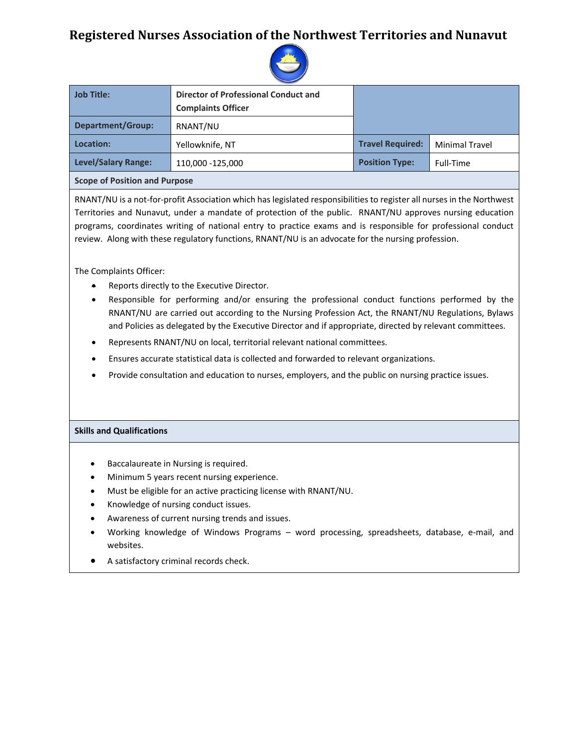# **Registered Nurses Association of the Northwest Territories and Nunavut**



| <b>Job Title:</b>                    | <b>Director of Professional Conduct and</b> |                         |                       |  |  |
|--------------------------------------|---------------------------------------------|-------------------------|-----------------------|--|--|
|                                      | <b>Complaints Officer</b>                   |                         |                       |  |  |
| <b>Department/Group:</b>             | RNANT/NU                                    |                         |                       |  |  |
| Location:                            | Yellowknife, NT                             | <b>Travel Required:</b> | <b>Minimal Travel</b> |  |  |
| <b>Level/Salary Range:</b>           | 110,000 -125,000                            | <b>Position Type:</b>   | Full-Time             |  |  |
| <b>Scope of Position and Purpose</b> |                                             |                         |                       |  |  |

RNANT/NU is a not-for-profit Association which has legislated responsibilities to register all nurses in the Northwest Territories and Nunavut, under a mandate of protection of the public. RNANT/NU approves nursing education programs, coordinates writing of national entry to practice exams and is responsible for professional conduct review. Along with these regulatory functions, RNANT/NU is an advocate for the nursing profession.

The Complaints Officer:

- Reports directly to the Executive Director.
- Responsible for performing and/or ensuring the professional conduct functions performed by the RNANT/NU are carried out according to the Nursing Profession Act, the RNANT/NU Regulations, Bylaws and Policies as delegated by the Executive Director and if appropriate, directed by relevant committees.
- Represents RNANT/NU on local, territorial relevant national committees.
- Ensures accurate statistical data is collected and forwarded to relevant organizations.
- Provide consultation and education to nurses, employers, and the public on nursing practice issues.

## **Skills and Qualifications**

- Baccalaureate in Nursing is required.
- Minimum 5 years recent nursing experience.
- Must be eligible for an active practicing license with RNANT/NU.
- Knowledge of nursing conduct issues.
- Awareness of current nursing trends and issues.
- Working knowledge of Windows Programs word processing, spreadsheets, database, e-mail, and websites.
- A satisfactory criminal records check.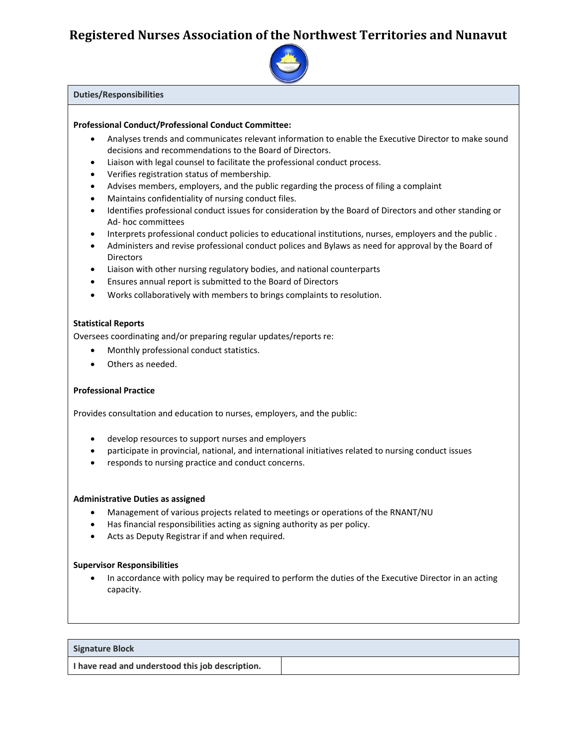# **Registered Nurses Association of the Northwest Territories and Nunavut**



#### **Duties/Responsibilities**

#### **Professional Conduct/Professional Conduct Committee:**

- Analyses trends and communicates relevant information to enable the Executive Director to make sound decisions and recommendations to the Board of Directors.
- Liaison with legal counsel to facilitate the professional conduct process.
- Verifies registration status of membership.
- Advises members, employers, and the public regarding the process of filing a complaint
- Maintains confidentiality of nursing conduct files.
- Identifies professional conduct issues for consideration by the Board of Directors and other standing or Ad- hoc committees
- Interprets professional conduct policies to educational institutions, nurses, employers and the public .
- Administers and revise professional conduct polices and Bylaws as need for approval by the Board of Directors
- Liaison with other nursing regulatory bodies, and national counterparts
- Ensures annual report is submitted to the Board of Directors
- Works collaboratively with members to brings complaints to resolution.

## **Statistical Reports**

Oversees coordinating and/or preparing regular updates/reports re:

- Monthly professional conduct statistics.
- Others as needed.

## **Professional Practice**

Provides consultation and education to nurses, employers, and the public:

- develop resources to support nurses and employers
- participate in provincial, national, and international initiatives related to nursing conduct issues
- responds to nursing practice and conduct concerns.

#### **Administrative Duties as assigned**

- Management of various projects related to meetings or operations of the RNANT/NU
- Has financial responsibilities acting as signing authority as per policy.
- Acts as Deputy Registrar if and when required.

## **Supervisor Responsibilities**

• In accordance with policy may be required to perform the duties of the Executive Director in an acting capacity.

| Signature Block                                  |  |
|--------------------------------------------------|--|
| I have read and understood this job description. |  |